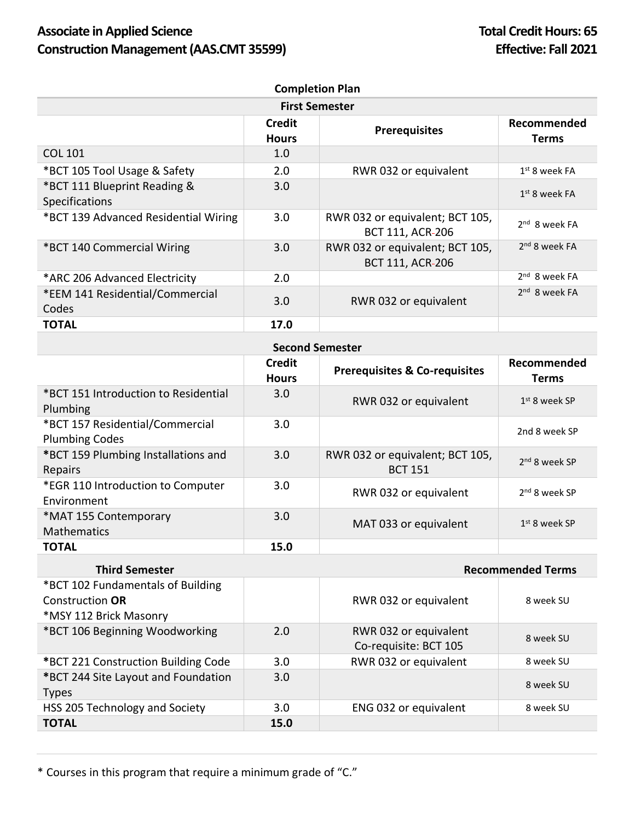## Associate in Applied Science **Total Credit Hours:** 65 **Construction Management (AAS.CMT 35599) Effective: Fall 2021**

| <b>Completion Plan</b>                                |                               |                                                            |                             |  |  |  |
|-------------------------------------------------------|-------------------------------|------------------------------------------------------------|-----------------------------|--|--|--|
| <b>First Semester</b>                                 |                               |                                                            |                             |  |  |  |
|                                                       | <b>Credit</b><br><b>Hours</b> | <b>Prerequisites</b>                                       | Recommended<br><b>Terms</b> |  |  |  |
| <b>COL 101</b>                                        | 1.0                           |                                                            |                             |  |  |  |
| *BCT 105 Tool Usage & Safety                          | 2.0                           | RWR 032 or equivalent                                      | $1st$ 8 week FA             |  |  |  |
| *BCT 111 Blueprint Reading &<br><b>Specifications</b> | 3.0                           |                                                            | $1st$ 8 week FA             |  |  |  |
| *BCT 139 Advanced Residential Wiring                  | 3.0                           | RWR 032 or equivalent; BCT 105,<br><b>BCT 111, ACR-206</b> | $2nd$ 8 week FA             |  |  |  |
| *BCT 140 Commercial Wiring                            | 3.0                           | RWR 032 or equivalent; BCT 105,<br><b>BCT 111, ACR-206</b> | 2 <sup>nd</sup> 8 week FA   |  |  |  |
| *ARC 206 Advanced Electricity                         | 2.0                           |                                                            | $2nd$ 8 week FA             |  |  |  |
| *EEM 141 Residential/Commercial<br>Codes              | 3.0                           | RWR 032 or equivalent                                      | $2nd$ 8 week FA             |  |  |  |
| <b>TOTAL</b>                                          | 17.0                          |                                                            |                             |  |  |  |

## **Second Semester**

|                                                          | <b>Credit</b><br><b>Hours</b> | <b>Prerequisites &amp; Co-requisites</b>          | Recommended<br><b>Terms</b> |
|----------------------------------------------------------|-------------------------------|---------------------------------------------------|-----------------------------|
| *BCT 151 Introduction to Residential<br>Plumbing         | 3.0                           | RWR 032 or equivalent                             | $1st$ 8 week SP             |
| *BCT 157 Residential/Commercial<br><b>Plumbing Codes</b> | 3.0                           |                                                   | 2nd 8 week SP               |
| *BCT 159 Plumbing Installations and<br><b>Repairs</b>    | 3.0                           | RWR 032 or equivalent; BCT 105,<br><b>BCT 151</b> | 2 <sup>nd</sup> 8 week SP   |
| *EGR 110 Introduction to Computer<br>Environment         | 3.0                           | RWR 032 or equivalent                             | 2 <sup>nd</sup> 8 week SP   |
| *MAT 155 Contemporary<br><b>Mathematics</b>              | 3.0                           | MAT 033 or equivalent                             | $1st$ 8 week SP             |
| <b>TOTAL</b>                                             | 15.0                          |                                                   |                             |

| <b>Third Semester</b>               |      | <b>Recommended Terms</b> |           |  |
|-------------------------------------|------|--------------------------|-----------|--|
| *BCT 102 Fundamentals of Building   |      |                          |           |  |
| Construction OR                     |      | RWR 032 or equivalent    | 8 week SU |  |
| *MSY 112 Brick Masonry              |      |                          |           |  |
| *BCT 106 Beginning Woodworking      | 2.0  | RWR 032 or equivalent    | 8 week SU |  |
|                                     |      | Co-requisite: BCT 105    |           |  |
| *BCT 221 Construction Building Code | 3.0  | RWR 032 or equivalent    | 8 week SU |  |
| *BCT 244 Site Layout and Foundation | 3.0  |                          | 8 week SU |  |
| <b>Types</b>                        |      |                          |           |  |
| HSS 205 Technology and Society      | 3.0  | ENG 032 or equivalent    | 8 week SU |  |
| <b>TOTAL</b>                        | 15.0 |                          |           |  |

\* Courses in this program that require a minimum grade of "C."